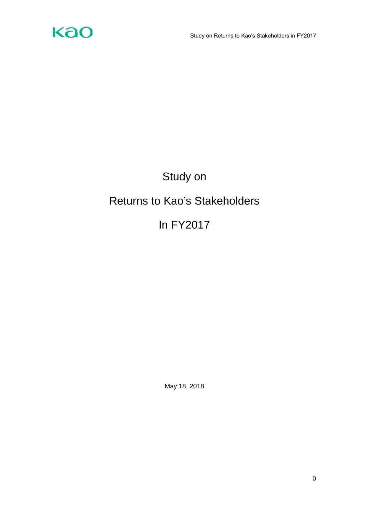

# Study on Returns to Kao's Stakeholders

## In FY2017

May 18, 2018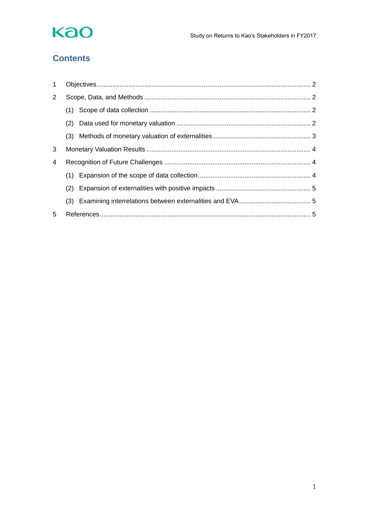

### **Contents**

| $\mathbf 1$ |     |  |  |
|-------------|-----|--|--|
| 2           |     |  |  |
|             |     |  |  |
|             | (2) |  |  |
|             |     |  |  |
| 3           |     |  |  |
| 4           |     |  |  |
|             |     |  |  |
|             | (2) |  |  |
|             |     |  |  |
| 5           |     |  |  |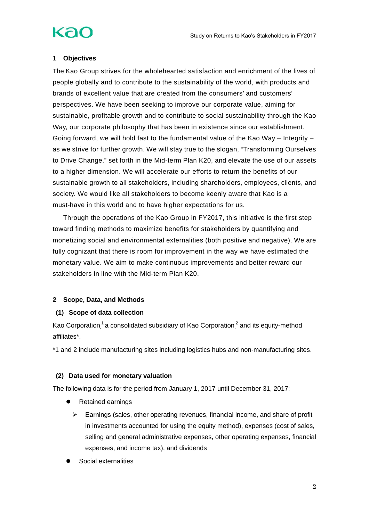## kac

### <span id="page-2-0"></span>**1 Objectives**

The Kao Group strives for the wholehearted satisfaction and enrichment of the lives of people globally and to contribute to the sustainability of the world, with products and brands of excellent value that are created from the consumers' and customers' perspectives. We have been seeking to improve our corporate value, aiming for sustainable, profitable growth and to contribute to social sustainability through the Kao Way, our corporate philosophy that has been in existence since our establishment. Going forward, we will hold fast to the fundamental value of the Kao Way – Integrity – as we strive for further growth. We will stay true to the slogan, "Transforming Ourselves to Drive Change," set forth in the Mid-term Plan K20, and elevate the use of our assets to a higher dimension. We will accelerate our efforts to return the benefits of our sustainable growth to all stakeholders, including shareholders, employees, clients, and society. We would like all stakeholders to become keenly aware that Kao is a must-have in this world and to have higher expectations for us.

Through the operations of the Kao Group in FY2017, this initiative is the first step toward finding methods to maximize benefits for stakeholders by quantifying and monetizing social and environmental externalities (both positive and negative). We are fully cognizant that there is room for improvement in the way we have estimated the monetary value. We aim to make continuous improvements and better reward our stakeholders in line with the Mid-term Plan K20.

### <span id="page-2-1"></span>**2 Scope, Data, and Methods**

### <span id="page-2-2"></span>**(1) Scope of data collection**

Kao Corporation,<sup>1</sup> a consolidated subsidiary of Kao Corporation,<sup>2</sup> and its equity-method affiliates\*.

\*1 and 2 include manufacturing sites including logistics hubs and non-manufacturing sites.

### <span id="page-2-3"></span>**(2) Data used for monetary valuation**

The following data is for the period from January 1, 2017 until December 31, 2017:

- Retained earnings
	- $\triangleright$  Earnings (sales, other operating revenues, financial income, and share of profit in investments accounted for using the equity method), expenses (cost of sales, selling and general administrative expenses, other operating expenses, financial expenses, and income tax), and dividends
- Social externalities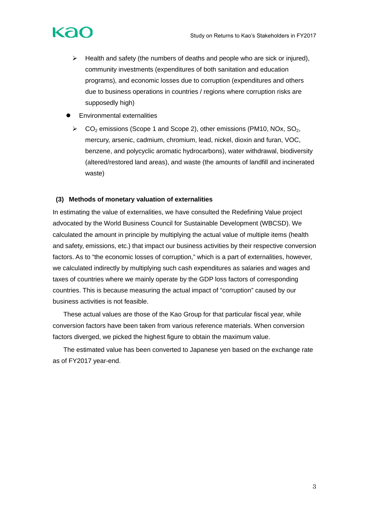- $\triangleright$  Health and safety (the numbers of deaths and people who are sick or injured), community investments (expenditures of both sanitation and education programs), and economic losses due to corruption (expenditures and others due to business operations in countries / regions where corruption risks are supposedly high)
- Environmental externalities
	- $\triangleright$  CO<sub>2</sub> emissions (Scope 1 and Scope 2), other emissions (PM10, NOx, SO<sub>2</sub>, mercury, arsenic, cadmium, chromium, lead, nickel, dioxin and furan, VOC, benzene, and polycyclic aromatic hydrocarbons), water withdrawal, biodiversity (altered/restored land areas), and waste (the amounts of landfill and incinerated waste)

### <span id="page-3-0"></span>**(3) Methods of monetary valuation of externalities**

In estimating the value of externalities, we have consulted the Redefining Value project advocated by the World Business Council for Sustainable Development (WBCSD). We calculated the amount in principle by multiplying the actual value of multiple items (health and safety, emissions, etc.) that impact our business activities by their respective conversion factors. As to "the economic losses of corruption," which is a part of externalities, however, we calculated indirectly by multiplying such cash expenditures as salaries and wages and taxes of countries where we mainly operate by the GDP loss factors of corresponding countries. This is because measuring the actual impact of "corruption" caused by our business activities is not feasible.

These actual values are those of the Kao Group for that particular fiscal year, while conversion factors have been taken from various reference materials. When conversion factors diverged, we picked the highest figure to obtain the maximum value.

The estimated value has been converted to Japanese yen based on the exchange rate as of FY2017 year-end.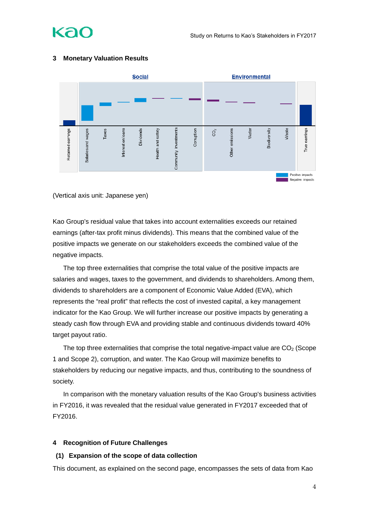

### <span id="page-4-0"></span>**3 Monetary Valuation Results**

(Vertical axis unit: Japanese yen)

Kao Group's residual value that takes into account externalities exceeds our retained earnings (after-tax profit minus dividends). This means that the combined value of the positive impacts we generate on our stakeholders exceeds the combined value of the negative impacts.

The top three externalities that comprise the total value of the positive impacts are salaries and wages, taxes to the government, and dividends to shareholders. Among them, dividends to shareholders are a component of Economic Value Added (EVA), which represents the "real profit" that reflects the cost of invested capital, a key management indicator for the Kao Group. We will further increase our positive impacts by generating a steady cash flow through EVA and providing stable and continuous dividends toward 40% target payout ratio.

The top three externalities that comprise the total negative-impact value are  $CO<sub>2</sub>$  (Scope 1 and Scope 2), corruption, and water. The Kao Group will maximize benefits to stakeholders by reducing our negative impacts, and thus, contributing to the soundness of society.

In comparison with the monetary valuation results of the Kao Group's business activities in FY2016, it was revealed that the residual value generated in FY2017 exceeded that of FY2016.

### <span id="page-4-1"></span>**4 Recognition of Future Challenges**

### <span id="page-4-2"></span>**(1) Expansion of the scope of data collection**

This document, as explained on the second page, encompasses the sets of data from Kao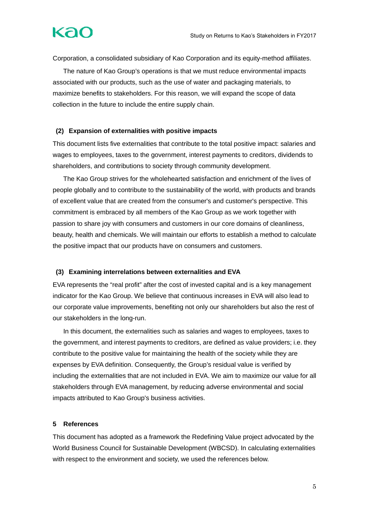## kac

Corporation, a consolidated subsidiary of Kao Corporation and its equity-method affiliates.

The nature of Kao Group's operations is that we must reduce environmental impacts associated with our products, such as the use of water and packaging materials, to maximize benefits to stakeholders. For this reason, we will expand the scope of data collection in the future to include the entire supply chain.

### <span id="page-5-0"></span>**(2) Expansion of externalities with positive impacts**

This document lists five externalities that contribute to the total positive impact: salaries and wages to employees, taxes to the government, interest payments to creditors, dividends to shareholders, and contributions to society through community development.

The Kao Group strives for the wholehearted satisfaction and enrichment of the lives of people globally and to contribute to the sustainability of the world, with products and brands of excellent value that are created from the consumer's and customer's perspective. This commitment is embraced by all members of the Kao Group as we work together with passion to share joy with consumers and customers in our core domains of cleanliness, beauty, health and chemicals. We will maintain our efforts to establish a method to calculate the positive impact that our products have on consumers and customers.

### <span id="page-5-1"></span>**(3) Examining interrelations between externalities and EVA**

EVA represents the "real profit" after the cost of invested capital and is a key management indicator for the Kao Group. We believe that continuous increases in EVA will also lead to our corporate value improvements, benefiting not only our shareholders but also the rest of our stakeholders in the long-run.

In this document, the externalities such as salaries and wages to employees, taxes to the government, and interest payments to creditors, are defined as value providers; i.e. they contribute to the positive value for maintaining the health of the society while they are expenses by EVA definition. Consequently, the Group's residual value is verified by including the externalities that are not included in EVA. We aim to maximize our value for all stakeholders through EVA management, by reducing adverse environmental and social impacts attributed to Kao Group's business activities.

### <span id="page-5-2"></span>**5 References**

This document has adopted as a framework the Redefining Value project advocated by the World Business Council for Sustainable Development (WBCSD). In calculating externalities with respect to the environment and society, we used the references below.